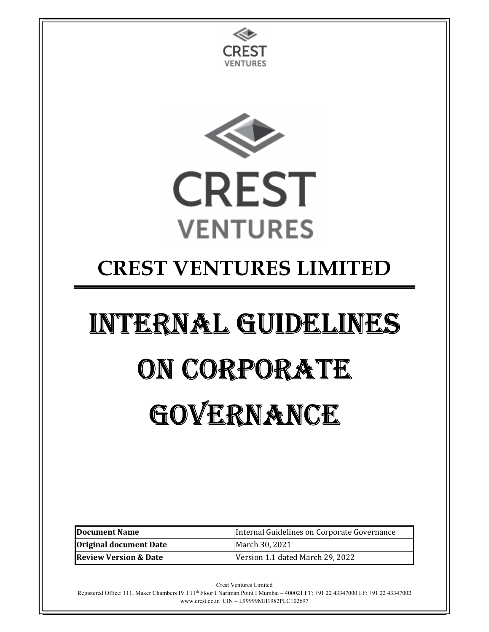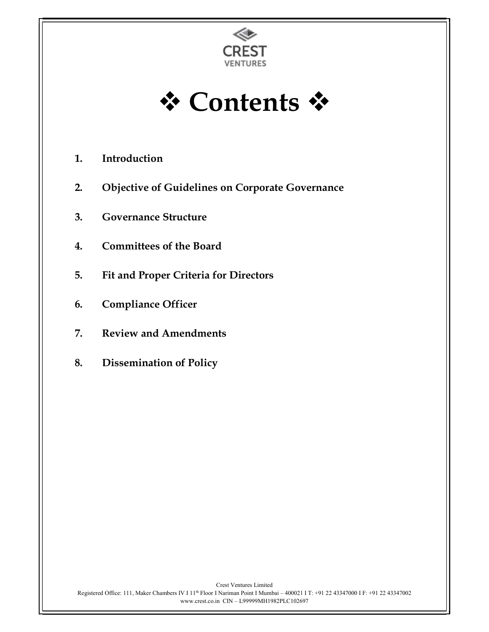

**†** Contents ☆

- 1. Introduction
- 2. Objective of Guidelines on Corporate Governance
- 3. Governance Structure
- 4. Committees of the Board
- 5. Fit and Proper Criteria for Directors
- 6. Compliance Officer
- 7. Review and Amendments
- 8. Dissemination of Policy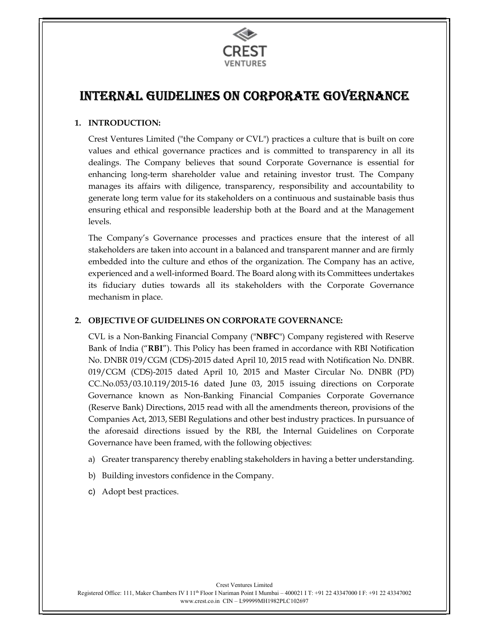

# INTERNAL GUIDELINES ON CORPORATE GOVERNANCE

# 1. INTRODUCTION:

Crest Ventures Limited ("the Company or CVL") practices a culture that is built on core values and ethical governance practices and is committed to transparency in all its dealings. The Company believes that sound Corporate Governance is essential for enhancing long-term shareholder value and retaining investor trust. The Company manages its affairs with diligence, transparency, responsibility and accountability to generate long term value for its stakeholders on a continuous and sustainable basis thus ensuring ethical and responsible leadership both at the Board and at the Management levels.

The Company's Governance processes and practices ensure that the interest of all stakeholders are taken into account in a balanced and transparent manner and are firmly embedded into the culture and ethos of the organization. The Company has an active, experienced and a well-informed Board. The Board along with its Committees undertakes its fiduciary duties towards all its stakeholders with the Corporate Governance mechanism in place.

# 2. OBJECTIVE OF GUIDELINES ON CORPORATE GOVERNANCE:

CVL is a Non-Banking Financial Company ("NBFC") Company registered with Reserve Bank of India ("RBI"). This Policy has been framed in accordance with RBI Notification No. DNBR 019/CGM (CDS)-2015 dated April 10, 2015 read with Notification No. DNBR. 019/CGM (CDS)-2015 dated April 10, 2015 and Master Circular No. DNBR (PD) CC.No.053/03.10.119/2015-16 dated June 03, 2015 issuing directions on Corporate Governance known as Non-Banking Financial Companies Corporate Governance (Reserve Bank) Directions, 2015 read with all the amendments thereon, provisions of the Companies Act, 2013, SEBI Regulations and other best industry practices. In pursuance of the aforesaid directions issued by the RBI, the Internal Guidelines on Corporate Governance have been framed, with the following objectives:

- a) Greater transparency thereby enabling stakeholders in having a better understanding.
- b) Building investors confidence in the Company.
- c) Adopt best practices.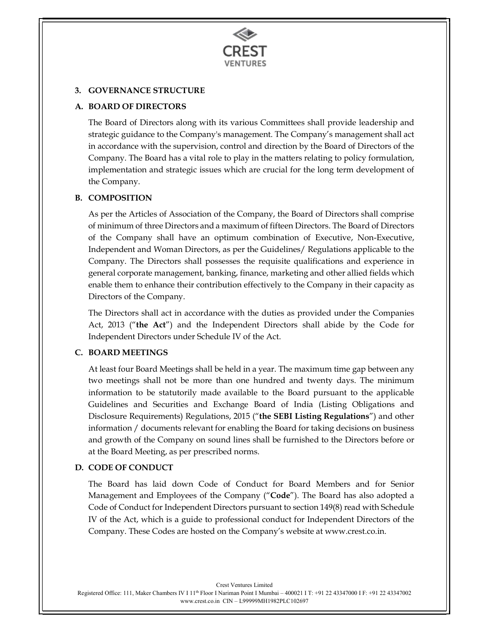

# 3. GOVERNANCE STRUCTURE

# A. BOARD OF DIRECTORS

The Board of Directors along with its various Committees shall provide leadership and strategic guidance to the Company's management. The Company's management shall act in accordance with the supervision, control and direction by the Board of Directors of the Company. The Board has a vital role to play in the matters relating to policy formulation, implementation and strategic issues which are crucial for the long term development of the Company.

# B. COMPOSITION

As per the Articles of Association of the Company, the Board of Directors shall comprise of minimum of three Directors and a maximum of fifteen Directors. The Board of Directors of the Company shall have an optimum combination of Executive, Non-Executive, Independent and Woman Directors, as per the Guidelines/ Regulations applicable to the Company. The Directors shall possesses the requisite qualifications and experience in general corporate management, banking, finance, marketing and other allied fields which enable them to enhance their contribution effectively to the Company in their capacity as Directors of the Company.

The Directors shall act in accordance with the duties as provided under the Companies Act, 2013 ("the Act") and the Independent Directors shall abide by the Code for Independent Directors under Schedule IV of the Act.

# C. BOARD MEETINGS

At least four Board Meetings shall be held in a year. The maximum time gap between any two meetings shall not be more than one hundred and twenty days. The minimum information to be statutorily made available to the Board pursuant to the applicable Guidelines and Securities and Exchange Board of India (Listing Obligations and Disclosure Requirements) Regulations, 2015 ("the SEBI Listing Regulations") and other information / documents relevant for enabling the Board for taking decisions on business and growth of the Company on sound lines shall be furnished to the Directors before or at the Board Meeting, as per prescribed norms.

# D. CODE OF CONDUCT

The Board has laid down Code of Conduct for Board Members and for Senior Management and Employees of the Company ("Code"). The Board has also adopted a Code of Conduct for Independent Directors pursuant to section 149(8) read with Schedule IV of the Act, which is a guide to professional conduct for Independent Directors of the Company. These Codes are hosted on the Company's website at www.crest.co.in.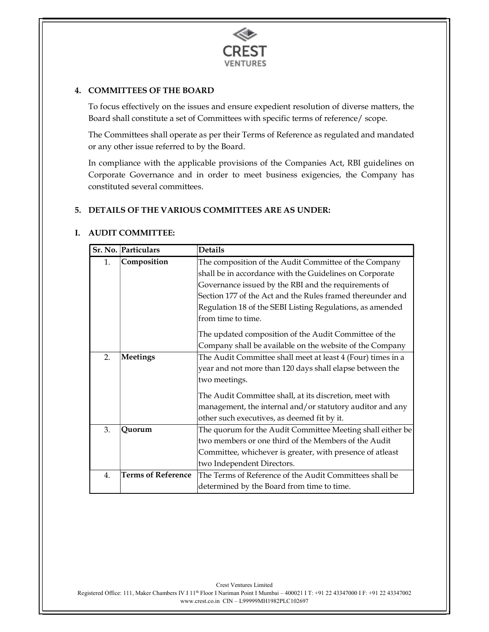

### 4. COMMITTEES OF THE BOARD

To focus effectively on the issues and ensure expedient resolution of diverse matters, the Board shall constitute a set of Committees with specific terms of reference/ scope.

The Committees shall operate as per their Terms of Reference as regulated and mandated or any other issue referred to by the Board.

In compliance with the applicable provisions of the Companies Act, RBI guidelines on Corporate Governance and in order to meet business exigencies, the Company has constituted several committees.

### 5. DETAILS OF THE VARIOUS COMMITTEES ARE AS UNDER:

### I. AUDIT COMMITTEE:

|    | Sr. No. Particulars       | <b>Details</b>                                              |
|----|---------------------------|-------------------------------------------------------------|
| 1. | Composition               | The composition of the Audit Committee of the Company       |
|    |                           | shall be in accordance with the Guidelines on Corporate     |
|    |                           | Governance issued by the RBI and the requirements of        |
|    |                           | Section 177 of the Act and the Rules framed thereunder and  |
|    |                           | Regulation 18 of the SEBI Listing Regulations, as amended   |
|    |                           | from time to time.                                          |
|    |                           | The updated composition of the Audit Committee of the       |
|    |                           | Company shall be available on the website of the Company    |
| 2. | Meetings                  | The Audit Committee shall meet at least 4 (Four) times in a |
|    |                           | year and not more than 120 days shall elapse between the    |
|    |                           | two meetings.                                               |
|    |                           | The Audit Committee shall, at its discretion, meet with     |
|    |                           | management, the internal and/or statutory auditor and any   |
|    |                           | other such executives, as deemed fit by it.                 |
| 3. | Quorum                    | The quorum for the Audit Committee Meeting shall either be  |
|    |                           | two members or one third of the Members of the Audit        |
|    |                           | Committee, whichever is greater, with presence of atleast   |
|    |                           | two Independent Directors.                                  |
| 4. | <b>Terms of Reference</b> | The Terms of Reference of the Audit Committees shall be     |
|    |                           | determined by the Board from time to time.                  |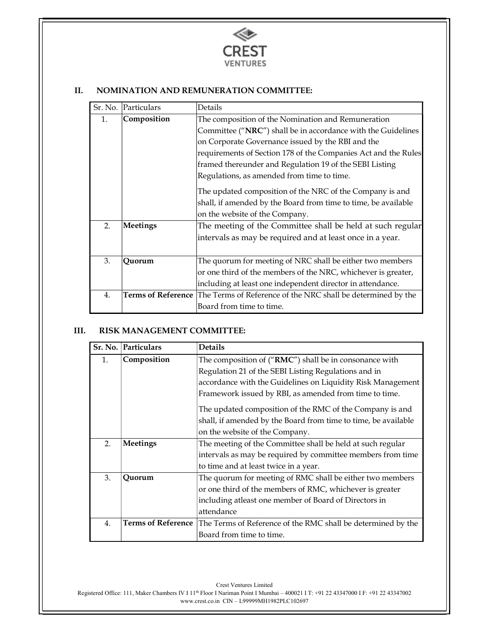

# II. NOMINATION AND REMUNERATION COMMITTEE:

| Sr. No.          | Particulars               | Details                                                        |
|------------------|---------------------------|----------------------------------------------------------------|
| 1.               | Composition               | The composition of the Nomination and Remuneration             |
|                  |                           | Committee ("NRC") shall be in accordance with the Guidelines   |
|                  |                           | on Corporate Governance issued by the RBI and the              |
|                  |                           | requirements of Section 178 of the Companies Act and the Rules |
|                  |                           | framed thereunder and Regulation 19 of the SEBI Listing        |
|                  |                           | Regulations, as amended from time to time.                     |
|                  |                           | The updated composition of the NRC of the Company is and       |
|                  |                           | shall, if amended by the Board from time to time, be available |
|                  |                           | on the website of the Company.                                 |
| 2.               | Meetings                  | The meeting of the Committee shall be held at such regular     |
|                  |                           | intervals as may be required and at least once in a year.      |
|                  |                           |                                                                |
| 3.               | Quorum                    | The quorum for meeting of NRC shall be either two members      |
|                  |                           | or one third of the members of the NRC, whichever is greater,  |
|                  |                           | including at least one independent director in attendance.     |
| $\overline{4}$ . | <b>Terms of Reference</b> | The Terms of Reference of the NRC shall be determined by the   |
|                  |                           | Board from time to time.                                       |

### III. RISK MANAGEMENT COMMITTEE:

|                  | Sr. No.   Particulars     | <b>Details</b>                                                 |
|------------------|---------------------------|----------------------------------------------------------------|
| 1.               | Composition               | The composition of ("RMC") shall be in consonance with         |
|                  |                           | Regulation 21 of the SEBI Listing Regulations and in           |
|                  |                           | accordance with the Guidelines on Liquidity Risk Management    |
|                  |                           | Framework issued by RBI, as amended from time to time.         |
|                  |                           | The updated composition of the RMC of the Company is and       |
|                  |                           | shall, if amended by the Board from time to time, be available |
|                  |                           | on the website of the Company.                                 |
| 2.               | Meetings                  | The meeting of the Committee shall be held at such regular     |
|                  |                           | intervals as may be required by committee members from time    |
|                  |                           | to time and at least twice in a year.                          |
| 3.               | Quorum                    | The quorum for meeting of RMC shall be either two members      |
|                  |                           | or one third of the members of RMC, whichever is greater       |
|                  |                           | including atleast one member of Board of Directors in          |
|                  |                           | attendance                                                     |
| $\overline{4}$ . | <b>Terms of Reference</b> | The Terms of Reference of the RMC shall be determined by the   |
|                  |                           | Board from time to time.                                       |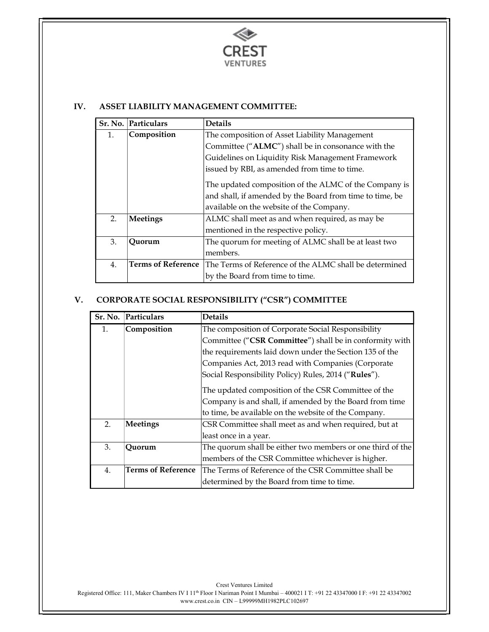

### IV. ASSET LIABILITY MANAGEMENT COMMITTEE:

|                  | Sr. No. Particulars       | <b>Details</b>                                           |
|------------------|---------------------------|----------------------------------------------------------|
| 1.               | Composition               | The composition of Asset Liability Management            |
|                  |                           | Committee ("ALMC") shall be in consonance with the       |
|                  |                           | Guidelines on Liquidity Risk Management Framework        |
|                  |                           | issued by RBI, as amended from time to time.             |
|                  |                           | The updated composition of the ALMC of the Company is    |
|                  |                           | and shall, if amended by the Board from time to time, be |
|                  |                           | available on the website of the Company.                 |
| 2.               | <b>Meetings</b>           | ALMC shall meet as and when required, as may be          |
|                  |                           | mentioned in the respective policy.                      |
| 3.               | Quorum                    | The quorum for meeting of ALMC shall be at least two     |
|                  |                           | members.                                                 |
| $\overline{4}$ . | <b>Terms of Reference</b> | The Terms of Reference of the ALMC shall be determined   |
|                  |                           | by the Board from time to time.                          |

# V. CORPORATE SOCIAL RESPONSIBILITY ("CSR") COMMITTEE

| Sr. No.        | Particulars               | <b>Details</b>                                             |
|----------------|---------------------------|------------------------------------------------------------|
| 1.             | Composition               | The composition of Corporate Social Responsibility         |
|                |                           | Committee ("CSR Committee") shall be in conformity with    |
|                |                           | the requirements laid down under the Section 135 of the    |
|                |                           | Companies Act, 2013 read with Companies (Corporate         |
|                |                           | Social Responsibility Policy) Rules, 2014 ("Rules").       |
|                |                           | The updated composition of the CSR Committee of the        |
|                |                           | Company is and shall, if amended by the Board from time    |
|                |                           | to time, be available on the website of the Company.       |
| 2 <sub>1</sub> | <b>Meetings</b>           | CSR Committee shall meet as and when required, but at      |
|                |                           | least once in a year.                                      |
| 3.             | Quorum                    | The quorum shall be either two members or one third of the |
|                |                           | members of the CSR Committee whichever is higher.          |
| 4.             | <b>Terms of Reference</b> | The Terms of Reference of the CSR Committee shall be       |
|                |                           | determined by the Board from time to time.                 |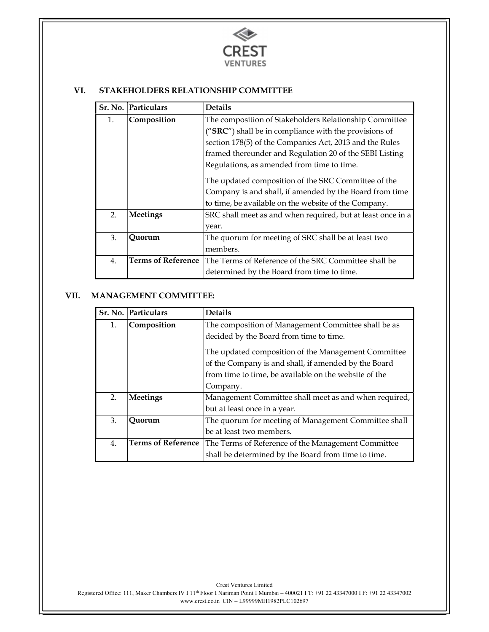

# VI. STAKEHOLDERS RELATIONSHIP COMMITTEE

| Sr. No.        | Particulars               | <b>Details</b>                                              |
|----------------|---------------------------|-------------------------------------------------------------|
| $\mathbf{1}$ . | Composition               | The composition of Stakeholders Relationship Committee      |
|                |                           | (" $SRC$ ") shall be in compliance with the provisions of   |
|                |                           | section 178(5) of the Companies Act, 2013 and the Rules     |
|                |                           | framed thereunder and Regulation 20 of the SEBI Listing     |
|                |                           | Regulations, as amended from time to time.                  |
|                |                           | The updated composition of the SRC Committee of the         |
|                |                           | Company is and shall, if amended by the Board from time     |
|                |                           | to time, be available on the website of the Company.        |
| 2.             | <b>Meetings</b>           | SRC shall meet as and when required, but at least once in a |
|                |                           | year.                                                       |
| 3.             | Quorum                    | The quorum for meeting of SRC shall be at least two         |
|                |                           | members.                                                    |
| 4.             | <b>Terms of Reference</b> | The Terms of Reference of the SRC Committee shall be        |
|                |                           | determined by the Board from time to time.                  |

# VII. MANAGEMENT COMMITTEE:

|                  | Sr. No. Particulars       | <b>Details</b>                                        |
|------------------|---------------------------|-------------------------------------------------------|
| 1.               | Composition               | The composition of Management Committee shall be as   |
|                  |                           | decided by the Board from time to time.               |
|                  |                           | The updated composition of the Management Committee   |
|                  |                           | of the Company is and shall, if amended by the Board  |
|                  |                           | from time to time, be available on the website of the |
|                  |                           | Company.                                              |
| 2.               | <b>Meetings</b>           | Management Committee shall meet as and when required, |
|                  |                           | but at least once in a year.                          |
| 3.               | Ouorum                    | The quorum for meeting of Management Committee shall  |
|                  |                           | be at least two members.                              |
| $\overline{4}$ . | <b>Terms of Reference</b> | The Terms of Reference of the Management Committee    |
|                  |                           | shall be determined by the Board from time to time.   |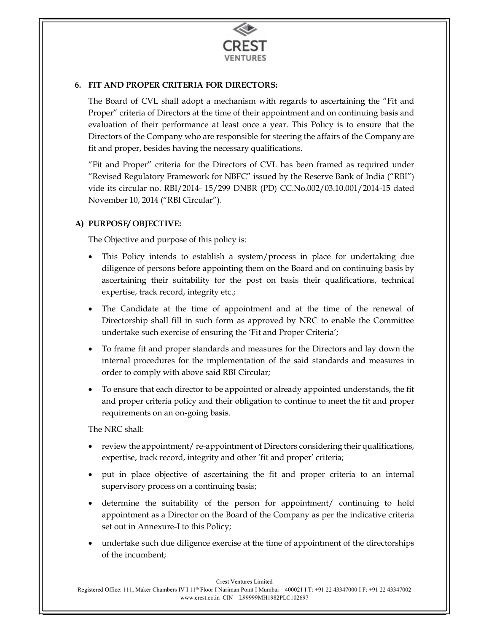

# 6. FIT AND PROPER CRITERIA FOR DIRECTORS:

The Board of CVL shall adopt a mechanism with regards to ascertaining the "Fit and Proper" criteria of Directors at the time of their appointment and on continuing basis and evaluation of their performance at least once a year. This Policy is to ensure that the Directors of the Company who are responsible for steering the affairs of the Company are fit and proper, besides having the necessary qualifications.

"Fit and Proper" criteria for the Directors of CVL has been framed as required under "Revised Regulatory Framework for NBFC" issued by the Reserve Bank of India ("RBI") vide its circular no. RBI/2014- 15/299 DNBR (PD) CC.No.002/03.10.001/2014-15 dated November 10, 2014 ("RBI Circular").

# A) PURPOSE/ OBJECTIVE:

The Objective and purpose of this policy is:

- This Policy intends to establish a system/process in place for undertaking due diligence of persons before appointing them on the Board and on continuing basis by ascertaining their suitability for the post on basis their qualifications, technical expertise, track record, integrity etc.;
- The Candidate at the time of appointment and at the time of the renewal of Directorship shall fill in such form as approved by NRC to enable the Committee undertake such exercise of ensuring the 'Fit and Proper Criteria';
- To frame fit and proper standards and measures for the Directors and lay down the internal procedures for the implementation of the said standards and measures in order to comply with above said RBI Circular;
- To ensure that each director to be appointed or already appointed understands, the fit and proper criteria policy and their obligation to continue to meet the fit and proper requirements on an on-going basis.

The NRC shall:

- review the appointment/ re-appointment of Directors considering their qualifications, expertise, track record, integrity and other 'fit and proper' criteria;
- put in place objective of ascertaining the fit and proper criteria to an internal supervisory process on a continuing basis;
- determine the suitability of the person for appointment/ continuing to hold appointment as a Director on the Board of the Company as per the indicative criteria set out in Annexure-I to this Policy;
- undertake such due diligence exercise at the time of appointment of the directorships of the incumbent;

Crest Ventures Limited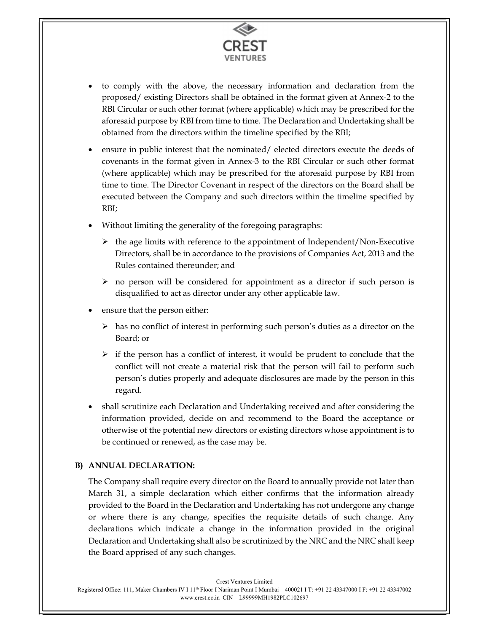

- to comply with the above, the necessary information and declaration from the proposed/ existing Directors shall be obtained in the format given at Annex-2 to the RBI Circular or such other format (where applicable) which may be prescribed for the aforesaid purpose by RBI from time to time. The Declaration and Undertaking shall be obtained from the directors within the timeline specified by the RBI;
- ensure in public interest that the nominated/ elected directors execute the deeds of covenants in the format given in Annex-3 to the RBI Circular or such other format (where applicable) which may be prescribed for the aforesaid purpose by RBI from time to time. The Director Covenant in respect of the directors on the Board shall be executed between the Company and such directors within the timeline specified by RBI;
- Without limiting the generality of the foregoing paragraphs:
	- $\triangleright$  the age limits with reference to the appointment of Independent/Non-Executive Directors, shall be in accordance to the provisions of Companies Act, 2013 and the Rules contained thereunder; and
	- $\triangleright$  no person will be considered for appointment as a director if such person is disqualified to act as director under any other applicable law.
- ensure that the person either:
	- $\triangleright$  has no conflict of interest in performing such person's duties as a director on the Board; or
	- $\triangleright$  if the person has a conflict of interest, it would be prudent to conclude that the conflict will not create a material risk that the person will fail to perform such person's duties properly and adequate disclosures are made by the person in this regard.
- shall scrutinize each Declaration and Undertaking received and after considering the information provided, decide on and recommend to the Board the acceptance or otherwise of the potential new directors or existing directors whose appointment is to be continued or renewed, as the case may be.

# B) ANNUAL DECLARATION:

The Company shall require every director on the Board to annually provide not later than March 31, a simple declaration which either confirms that the information already provided to the Board in the Declaration and Undertaking has not undergone any change or where there is any change, specifies the requisite details of such change. Any declarations which indicate a change in the information provided in the original Declaration and Undertaking shall also be scrutinized by the NRC and the NRC shall keep the Board apprised of any such changes.

Crest Ventures Limited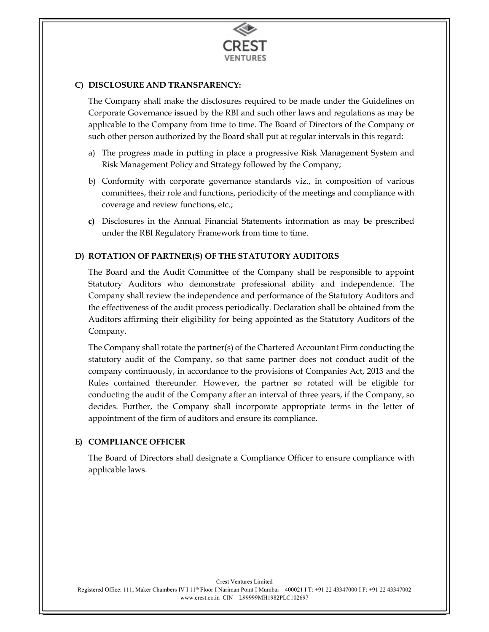

### C) DISCLOSURE AND TRANSPARENCY:

The Company shall make the disclosures required to be made under the Guidelines on Corporate Governance issued by the RBI and such other laws and regulations as may be applicable to the Company from time to time. The Board of Directors of the Company or such other person authorized by the Board shall put at regular intervals in this regard:

- a) The progress made in putting in place a progressive Risk Management System and Risk Management Policy and Strategy followed by the Company;
- b) Conformity with corporate governance standards viz., in composition of various committees, their role and functions, periodicity of the meetings and compliance with coverage and review functions, etc.;
- c) Disclosures in the Annual Financial Statements information as may be prescribed under the RBI Regulatory Framework from time to time.

### D) ROTATION OF PARTNER(S) OF THE STATUTORY AUDITORS

The Board and the Audit Committee of the Company shall be responsible to appoint Statutory Auditors who demonstrate professional ability and independence. The Company shall review the independence and performance of the Statutory Auditors and the effectiveness of the audit process periodically. Declaration shall be obtained from the Auditors affirming their eligibility for being appointed as the Statutory Auditors of the Company.

The Company shall rotate the partner(s) of the Chartered Accountant Firm conducting the statutory audit of the Company, so that same partner does not conduct audit of the company continuously, in accordance to the provisions of Companies Act, 2013 and the Rules contained thereunder. However, the partner so rotated will be eligible for conducting the audit of the Company after an interval of three years, if the Company, so decides. Further, the Company shall incorporate appropriate terms in the letter of appointment of the firm of auditors and ensure its compliance.

### E) COMPLIANCE OFFICER

The Board of Directors shall designate a Compliance Officer to ensure compliance with applicable laws.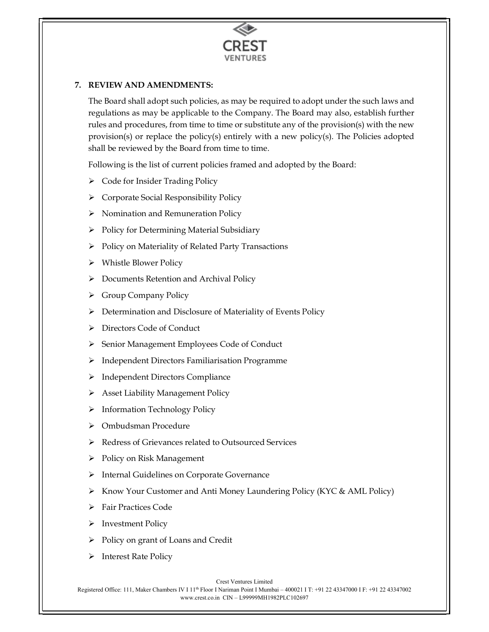

# 7. REVIEW AND AMENDMENTS:

The Board shall adopt such policies, as may be required to adopt under the such laws and regulations as may be applicable to the Company. The Board may also, establish further rules and procedures, from time to time or substitute any of the provision(s) with the new provision(s) or replace the policy(s) entirely with a new policy(s). The Policies adopted shall be reviewed by the Board from time to time.

Following is the list of current policies framed and adopted by the Board:

- $\triangleright$  Code for Insider Trading Policy
- Corporate Social Responsibility Policy
- $\triangleright$  Nomination and Remuneration Policy
- $\triangleright$  Policy for Determining Material Subsidiary
- $\triangleright$  Policy on Materiality of Related Party Transactions
- Whistle Blower Policy
- Documents Retention and Archival Policy
- Group Company Policy
- $\triangleright$  Determination and Disclosure of Materiality of Events Policy
- Directors Code of Conduct
- > Senior Management Employees Code of Conduct
- Independent Directors Familiarisation Programme
- > Independent Directors Compliance
- $\triangleright$  Asset Liability Management Policy
- $\triangleright$  Information Technology Policy
- Ombudsman Procedure
- Redress of Grievances related to Outsourced Services
- $\triangleright$  Policy on Risk Management
- > Internal Guidelines on Corporate Governance
- ▶ Know Your Customer and Anti Money Laundering Policy (KYC & AML Policy)
- > Fair Practices Code
- $\triangleright$  Investment Policy
- $\triangleright$  Policy on grant of Loans and Credit
- $\triangleright$  Interest Rate Policy

Crest Ventures Limited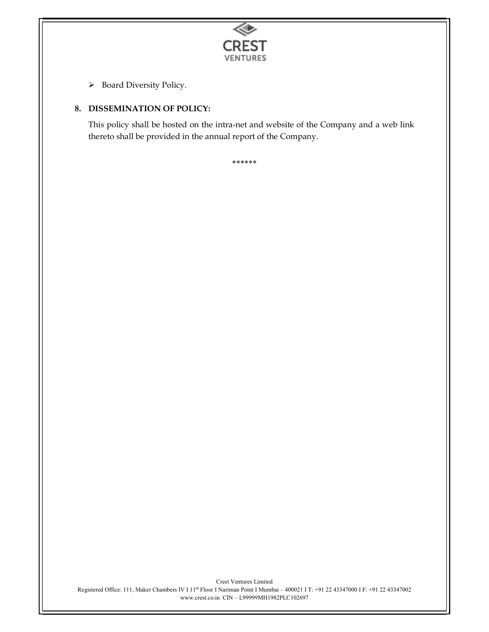

 $\triangleright$  Board Diversity Policy.

# 8. DISSEMINATION OF POLICY:

This policy shall be hosted on the intra-net and website of the Company and a web link thereto shall be provided in the annual report of the Company.

\*\*\*\*\*\*